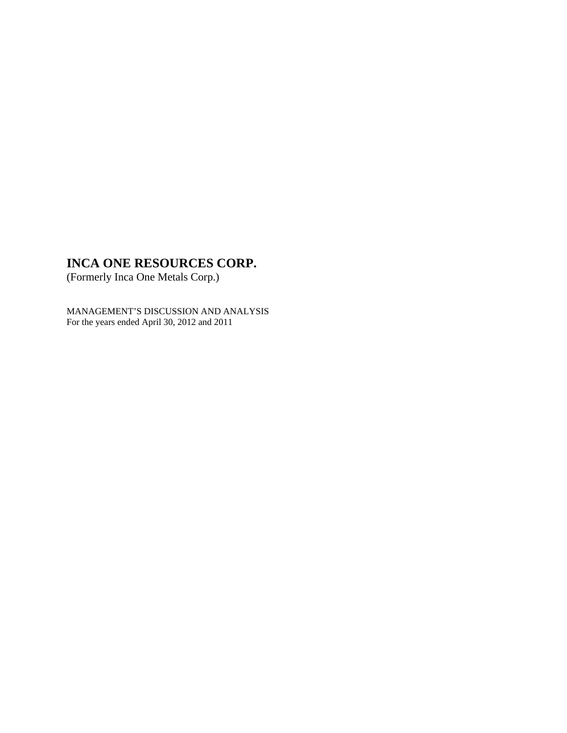(Formerly Inca One Metals Corp.)

MANAGEMENT'S DISCUSSION AND ANALYSIS For the years ended April 30, 2012 and 2011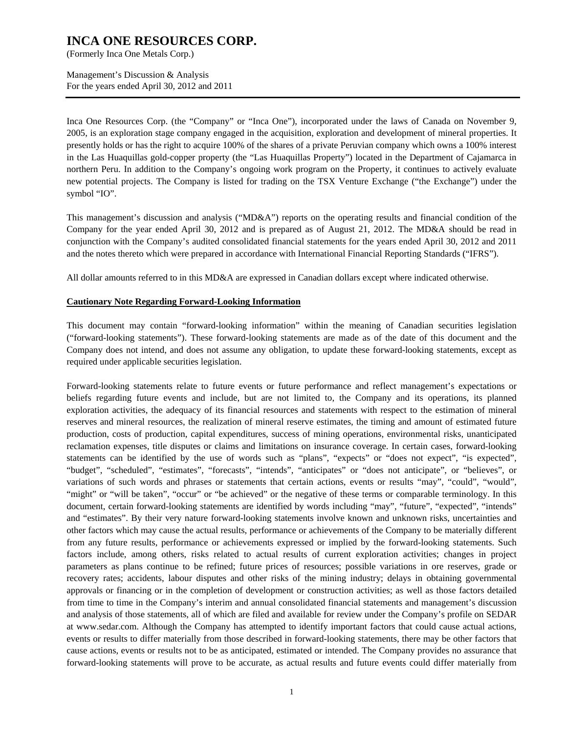(Formerly Inca One Metals Corp.)

Management's Discussion & Analysis For the years ended April 30, 2012 and 2011

Inca One Resources Corp. (the "Company" or "Inca One"), incorporated under the laws of Canada on November 9, 2005, is an exploration stage company engaged in the acquisition, exploration and development of mineral properties. It presently holds or has the right to acquire 100% of the shares of a private Peruvian company which owns a 100% interest in the Las Huaquillas gold-copper property (the "Las Huaquillas Property") located in the Department of Cajamarca in northern Peru. In addition to the Company's ongoing work program on the Property, it continues to actively evaluate new potential projects. The Company is listed for trading on the TSX Venture Exchange ("the Exchange") under the symbol "IO".

This management's discussion and analysis ("MD&A") reports on the operating results and financial condition of the Company for the year ended April 30, 2012 and is prepared as of August 21, 2012. The MD&A should be read in conjunction with the Company's audited consolidated financial statements for the years ended April 30, 2012 and 2011 and the notes thereto which were prepared in accordance with International Financial Reporting Standards ("IFRS").

All dollar amounts referred to in this MD&A are expressed in Canadian dollars except where indicated otherwise.

#### **Cautionary Note Regarding Forward-Looking Information**

This document may contain "forward-looking information" within the meaning of Canadian securities legislation ("forward-looking statements"). These forward-looking statements are made as of the date of this document and the Company does not intend, and does not assume any obligation, to update these forward-looking statements, except as required under applicable securities legislation.

Forward-looking statements relate to future events or future performance and reflect management's expectations or beliefs regarding future events and include, but are not limited to, the Company and its operations, its planned exploration activities, the adequacy of its financial resources and statements with respect to the estimation of mineral reserves and mineral resources, the realization of mineral reserve estimates, the timing and amount of estimated future production, costs of production, capital expenditures, success of mining operations, environmental risks, unanticipated reclamation expenses, title disputes or claims and limitations on insurance coverage. In certain cases, forward-looking statements can be identified by the use of words such as "plans", "expects" or "does not expect", "is expected", "budget", "scheduled", "estimates", "forecasts", "intends", "anticipates" or "does not anticipate", or "believes", or variations of such words and phrases or statements that certain actions, events or results "may", "could", "would", "might" or "will be taken", "occur" or "be achieved" or the negative of these terms or comparable terminology. In this document, certain forward-looking statements are identified by words including "may", "future", "expected", "intends" and "estimates". By their very nature forward-looking statements involve known and unknown risks, uncertainties and other factors which may cause the actual results, performance or achievements of the Company to be materially different from any future results, performance or achievements expressed or implied by the forward-looking statements. Such factors include, among others, risks related to actual results of current exploration activities; changes in project parameters as plans continue to be refined; future prices of resources; possible variations in ore reserves, grade or recovery rates; accidents, labour disputes and other risks of the mining industry; delays in obtaining governmental approvals or financing or in the completion of development or construction activities; as well as those factors detailed from time to time in the Company's interim and annual consolidated financial statements and management's discussion and analysis of those statements, all of which are filed and available for review under the Company's profile on SEDAR at www.sedar.com. Although the Company has attempted to identify important factors that could cause actual actions, events or results to differ materially from those described in forward-looking statements, there may be other factors that cause actions, events or results not to be as anticipated, estimated or intended. The Company provides no assurance that forward-looking statements will prove to be accurate, as actual results and future events could differ materially from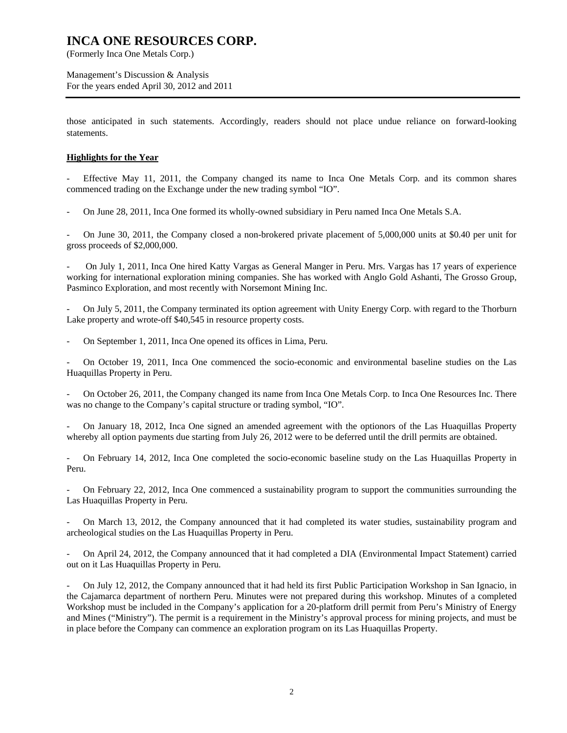(Formerly Inca One Metals Corp.)

Management's Discussion & Analysis For the years ended April 30, 2012 and 2011

those anticipated in such statements. Accordingly, readers should not place undue reliance on forward-looking statements.

#### **Highlights for the Year**

Effective May 11, 2011, the Company changed its name to Inca One Metals Corp. and its common shares commenced trading on the Exchange under the new trading symbol "IO".

- On June 28, 2011, Inca One formed its wholly-owned subsidiary in Peru named Inca One Metals S.A.

- On June 30, 2011, the Company closed a non-brokered private placement of 5,000,000 units at \$0.40 per unit for gross proceeds of \$2,000,000.

- On July 1, 2011, Inca One hired Katty Vargas as General Manger in Peru. Mrs. Vargas has 17 years of experience working for international exploration mining companies. She has worked with Anglo Gold Ashanti, The Grosso Group, Pasminco Exploration, and most recently with Norsemont Mining Inc.

- On July 5, 2011, the Company terminated its option agreement with Unity Energy Corp. with regard to the Thorburn Lake property and wrote-off \$40,545 in resource property costs.

- On September 1, 2011, Inca One opened its offices in Lima, Peru.

- On October 19, 2011, Inca One commenced the socio-economic and environmental baseline studies on the Las Huaquillas Property in Peru.

- On October 26, 2011, the Company changed its name from Inca One Metals Corp. to Inca One Resources Inc. There was no change to the Company's capital structure or trading symbol, "IO".

- On January 18, 2012, Inca One signed an amended agreement with the optionors of the Las Huaquillas Property whereby all option payments due starting from July 26, 2012 were to be deferred until the drill permits are obtained.

- On February 14, 2012, Inca One completed the socio-economic baseline study on the Las Huaquillas Property in Peru.

- On February 22, 2012, Inca One commenced a sustainability program to support the communities surrounding the Las Huaquillas Property in Peru.

- On March 13, 2012, the Company announced that it had completed its water studies, sustainability program and archeological studies on the Las Huaquillas Property in Peru.

- On April 24, 2012, the Company announced that it had completed a DIA (Environmental Impact Statement) carried out on it Las Huaquillas Property in Peru.

- On July 12, 2012, the Company announced that it had held its first Public Participation Workshop in San Ignacio, in the Cajamarca department of northern Peru. Minutes were not prepared during this workshop. Minutes of a completed Workshop must be included in the Company's application for a 20-platform drill permit from Peru's Ministry of Energy and Mines ("Ministry"). The permit is a requirement in the Ministry's approval process for mining projects, and must be in place before the Company can commence an exploration program on its Las Huaquillas Property.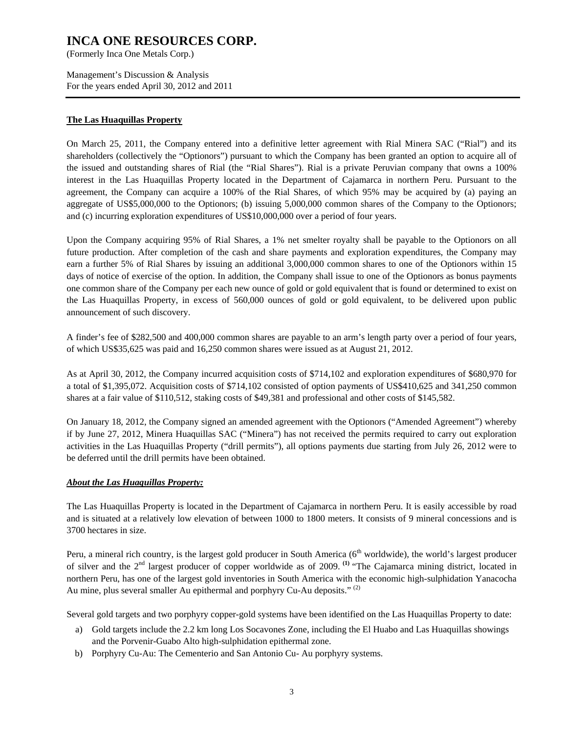(Formerly Inca One Metals Corp.)

Management's Discussion & Analysis For the years ended April 30, 2012 and 2011

### **The Las Huaquillas Property**

On March 25, 2011, the Company entered into a definitive letter agreement with Rial Minera SAC ("Rial") and its shareholders (collectively the "Optionors") pursuant to which the Company has been granted an option to acquire all of the issued and outstanding shares of Rial (the "Rial Shares"). Rial is a private Peruvian company that owns a 100% interest in the Las Huaquillas Property located in the Department of Cajamarca in northern Peru. Pursuant to the agreement, the Company can acquire a 100% of the Rial Shares, of which 95% may be acquired by (a) paying an aggregate of US\$5,000,000 to the Optionors; (b) issuing 5,000,000 common shares of the Company to the Optionors; and (c) incurring exploration expenditures of US\$10,000,000 over a period of four years.

Upon the Company acquiring 95% of Rial Shares, a 1% net smelter royalty shall be payable to the Optionors on all future production. After completion of the cash and share payments and exploration expenditures, the Company may earn a further 5% of Rial Shares by issuing an additional 3,000,000 common shares to one of the Optionors within 15 days of notice of exercise of the option. In addition, the Company shall issue to one of the Optionors as bonus payments one common share of the Company per each new ounce of gold or gold equivalent that is found or determined to exist on the Las Huaquillas Property, in excess of 560,000 ounces of gold or gold equivalent, to be delivered upon public announcement of such discovery.

A finder's fee of \$282,500 and 400,000 common shares are payable to an arm's length party over a period of four years, of which US\$35,625 was paid and 16,250 common shares were issued as at August 21, 2012.

As at April 30, 2012, the Company incurred acquisition costs of \$714,102 and exploration expenditures of \$680,970 for a total of \$1,395,072. Acquisition costs of \$714,102 consisted of option payments of US\$410,625 and 341,250 common shares at a fair value of \$110,512, staking costs of \$49,381 and professional and other costs of \$145,582.

On January 18, 2012, the Company signed an amended agreement with the Optionors ("Amended Agreement") whereby if by June 27, 2012, Minera Huaquillas SAC ("Minera") has not received the permits required to carry out exploration activities in the Las Huaquillas Property ("drill permits"), all options payments due starting from July 26, 2012 were to be deferred until the drill permits have been obtained.

### *About the Las Huaquillas Property:*

The Las Huaquillas Property is located in the Department of Cajamarca in northern Peru. It is easily accessible by road and is situated at a relatively low elevation of between 1000 to 1800 meters. It consists of 9 mineral concessions and is 3700 hectares in size.

Peru, a mineral rich country, is the largest gold producer in South America ( $6<sup>th</sup>$  worldwide), the world's largest producer of silver and the 2nd largest producer of copper worldwide as of 2009. **(1)** "The Cajamarca mining district, located in northern Peru, has one of the largest gold inventories in South America with the economic high-sulphidation Yanacocha Au mine, plus several smaller Au epithermal and porphyry Cu-Au deposits."<sup>(2)</sup>

Several gold targets and two porphyry copper-gold systems have been identified on the Las Huaquillas Property to date:

- a) Gold targets include the 2.2 km long Los Socavones Zone, including the El Huabo and Las Huaquillas showings and the Porvenir-Guabo Alto high-sulphidation epithermal zone.
- b) Porphyry Cu-Au: The Cementerio and San Antonio Cu- Au porphyry systems.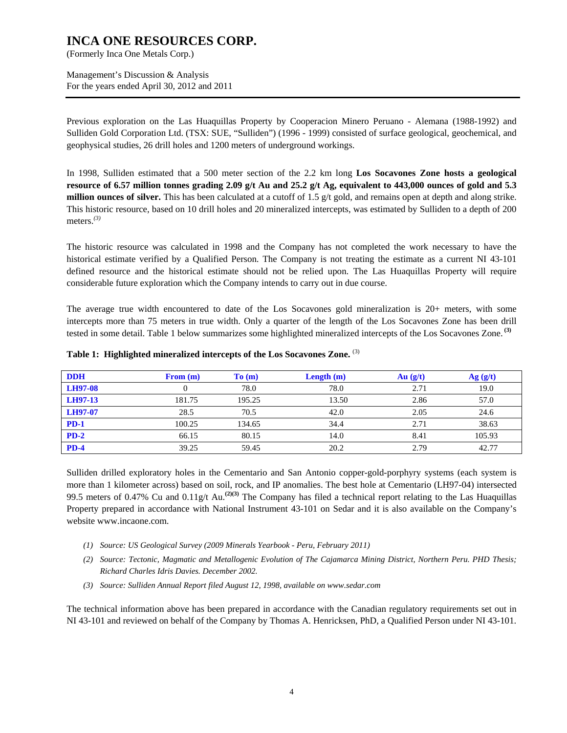(Formerly Inca One Metals Corp.)

Management's Discussion & Analysis For the years ended April 30, 2012 and 2011

Previous exploration on the Las Huaquillas Property by Cooperacion Minero Peruano - Alemana (1988-1992) and Sulliden Gold Corporation Ltd. (TSX: SUE, "Sulliden") (1996 - 1999) consisted of surface geological, geochemical, and geophysical studies, 26 drill holes and 1200 meters of underground workings.

In 1998, Sulliden estimated that a 500 meter section of the 2.2 km long **Los Socavones Zone hosts a geological resource of 6.57 million tonnes grading 2.09 g/t Au and 25.2 g/t Ag, equivalent to 443,000 ounces of gold and 5.3 million ounces of silver.** This has been calculated at a cutoff of 1.5 g/t gold, and remains open at depth and along strike. This historic resource, based on 10 drill holes and 20 mineralized intercepts, was estimated by Sulliden to a depth of 200 meters.*(3)* 

The historic resource was calculated in 1998 and the Company has not completed the work necessary to have the historical estimate verified by a Qualified Person. The Company is not treating the estimate as a current NI 43-101 defined resource and the historical estimate should not be relied upon. The Las Huaquillas Property will require considerable future exploration which the Company intends to carry out in due course.

The average true width encountered to date of the Los Socavones gold mineralization is 20+ meters, with some intercepts more than 75 meters in true width. Only a quarter of the length of the Los Socavones Zone has been drill tested in some detail. Table 1 below summarizes some highlighted mineralized intercepts of the Los Socavones Zone. **(3)**

| <b>DDH</b>     | From (m) | To(m)  | Length $(m)$ | Au(g/t) | Ag(g/t) |
|----------------|----------|--------|--------------|---------|---------|
| <b>LH97-08</b> |          | 78.0   | 78.0         | 2.71    | 19.0    |
| LH97-13        | 181.75   | 195.25 | 13.50        | 2.86    | 57.0    |
| LH97-07        | 28.5     | 70.5   | 42.0         | 2.05    | 24.6    |
| $PD-1$         | 100.25   | 134.65 | 34.4         | 2.71    | 38.63   |
| $PD-2$         | 66.15    | 80.15  | 14.0         | 8.41    | 105.93  |
| $PD-4$         | 39.25    | 59.45  | 20.2         | 2.79    | 42.77   |

### **Table 1: Highlighted mineralized intercepts of the Los Socavones Zone.** (3)

Sulliden drilled exploratory holes in the Cementario and San Antonio copper-gold-porphyry systems (each system is more than 1 kilometer across) based on soil, rock, and IP anomalies. The best hole at Cementario (LH97-04) intersected 99.5 meters of 0.47% Cu and 0.11g/t Au.**(2)(3)** The Company has filed a technical report relating to the Las Huaquillas Property prepared in accordance with National Instrument 43-101 on Sedar and it is also available on the Company's website www.incaone.com.

- *(1) Source: US Geological Survey (2009 Minerals Yearbook Peru, February 2011)*
- *(2) Source: Tectonic, Magmatic and Metallogenic Evolution of The Cajamarca Mining District, Northern Peru. PHD Thesis; Richard Charles Idris Davies. December 2002.*
- *(3) Source: Sulliden Annual Report filed August 12, 1998, available on www.sedar.com*

The technical information above has been prepared in accordance with the Canadian regulatory requirements set out in NI 43-101 and reviewed on behalf of the Company by Thomas A. Henricksen, PhD, a Qualified Person under NI 43-101.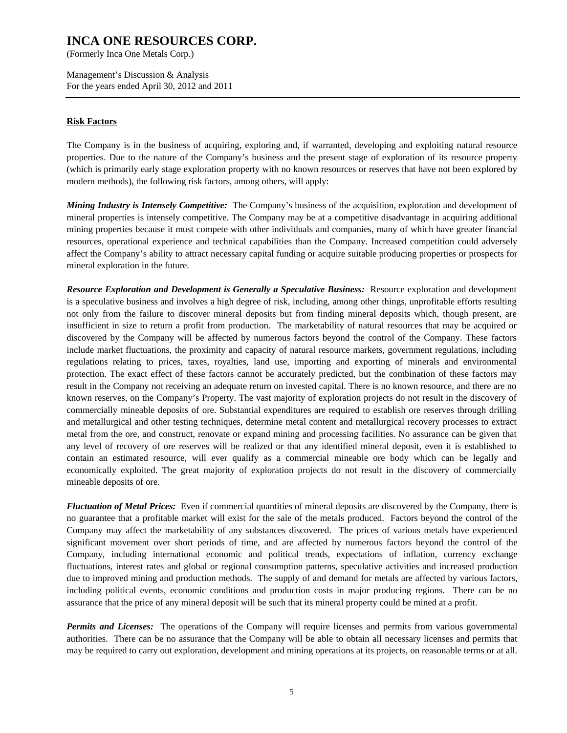(Formerly Inca One Metals Corp.)

Management's Discussion & Analysis For the years ended April 30, 2012 and 2011

#### **Risk Factors**

The Company is in the business of acquiring, exploring and, if warranted, developing and exploiting natural resource properties. Due to the nature of the Company's business and the present stage of exploration of its resource property (which is primarily early stage exploration property with no known resources or reserves that have not been explored by modern methods), the following risk factors, among others, will apply:

*Mining Industry is Intensely Competitive:* The Company's business of the acquisition, exploration and development of mineral properties is intensely competitive. The Company may be at a competitive disadvantage in acquiring additional mining properties because it must compete with other individuals and companies, many of which have greater financial resources, operational experience and technical capabilities than the Company. Increased competition could adversely affect the Company's ability to attract necessary capital funding or acquire suitable producing properties or prospects for mineral exploration in the future.

*Resource Exploration and Development is Generally a Speculative Business:* Resource exploration and development is a speculative business and involves a high degree of risk, including, among other things, unprofitable efforts resulting not only from the failure to discover mineral deposits but from finding mineral deposits which, though present, are insufficient in size to return a profit from production. The marketability of natural resources that may be acquired or discovered by the Company will be affected by numerous factors beyond the control of the Company. These factors include market fluctuations, the proximity and capacity of natural resource markets, government regulations, including regulations relating to prices, taxes, royalties, land use, importing and exporting of minerals and environmental protection. The exact effect of these factors cannot be accurately predicted, but the combination of these factors may result in the Company not receiving an adequate return on invested capital. There is no known resource, and there are no known reserves, on the Company's Property. The vast majority of exploration projects do not result in the discovery of commercially mineable deposits of ore. Substantial expenditures are required to establish ore reserves through drilling and metallurgical and other testing techniques, determine metal content and metallurgical recovery processes to extract metal from the ore, and construct, renovate or expand mining and processing facilities. No assurance can be given that any level of recovery of ore reserves will be realized or that any identified mineral deposit, even it is established to contain an estimated resource, will ever qualify as a commercial mineable ore body which can be legally and economically exploited. The great majority of exploration projects do not result in the discovery of commercially mineable deposits of ore.

*Fluctuation of Metal Prices:* Even if commercial quantities of mineral deposits are discovered by the Company, there is no guarantee that a profitable market will exist for the sale of the metals produced. Factors beyond the control of the Company may affect the marketability of any substances discovered. The prices of various metals have experienced significant movement over short periods of time, and are affected by numerous factors beyond the control of the Company, including international economic and political trends, expectations of inflation, currency exchange fluctuations, interest rates and global or regional consumption patterns, speculative activities and increased production due to improved mining and production methods. The supply of and demand for metals are affected by various factors, including political events, economic conditions and production costs in major producing regions. There can be no assurance that the price of any mineral deposit will be such that its mineral property could be mined at a profit.

*Permits and Licenses:* The operations of the Company will require licenses and permits from various governmental authorities. There can be no assurance that the Company will be able to obtain all necessary licenses and permits that may be required to carry out exploration, development and mining operations at its projects, on reasonable terms or at all.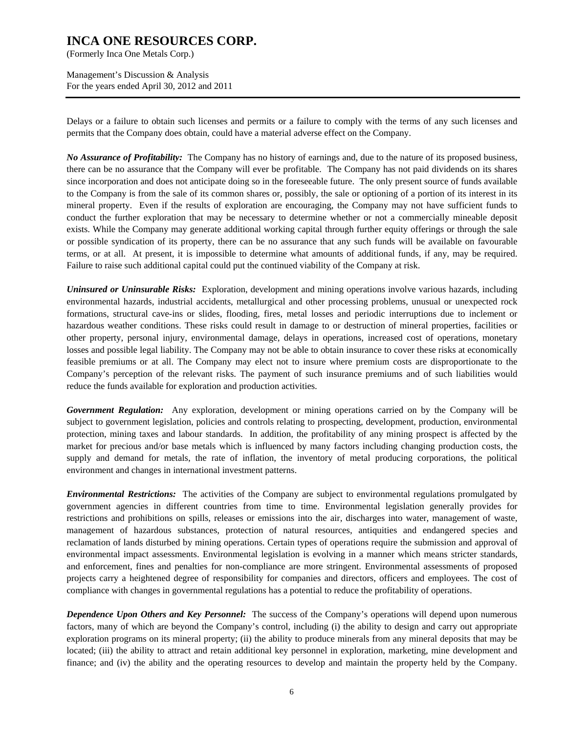(Formerly Inca One Metals Corp.)

Management's Discussion & Analysis For the years ended April 30, 2012 and 2011

Delays or a failure to obtain such licenses and permits or a failure to comply with the terms of any such licenses and permits that the Company does obtain, could have a material adverse effect on the Company.

*No Assurance of Profitability:* The Company has no history of earnings and, due to the nature of its proposed business, there can be no assurance that the Company will ever be profitable. The Company has not paid dividends on its shares since incorporation and does not anticipate doing so in the foreseeable future. The only present source of funds available to the Company is from the sale of its common shares or, possibly, the sale or optioning of a portion of its interest in its mineral property. Even if the results of exploration are encouraging, the Company may not have sufficient funds to conduct the further exploration that may be necessary to determine whether or not a commercially mineable deposit exists. While the Company may generate additional working capital through further equity offerings or through the sale or possible syndication of its property, there can be no assurance that any such funds will be available on favourable terms, or at all. At present, it is impossible to determine what amounts of additional funds, if any, may be required. Failure to raise such additional capital could put the continued viability of the Company at risk.

*Uninsured or Uninsurable Risks:* Exploration, development and mining operations involve various hazards, including environmental hazards, industrial accidents, metallurgical and other processing problems, unusual or unexpected rock formations, structural cave-ins or slides, flooding, fires, metal losses and periodic interruptions due to inclement or hazardous weather conditions. These risks could result in damage to or destruction of mineral properties, facilities or other property, personal injury, environmental damage, delays in operations, increased cost of operations, monetary losses and possible legal liability. The Company may not be able to obtain insurance to cover these risks at economically feasible premiums or at all. The Company may elect not to insure where premium costs are disproportionate to the Company's perception of the relevant risks. The payment of such insurance premiums and of such liabilities would reduce the funds available for exploration and production activities.

*Government Regulation:* Any exploration, development or mining operations carried on by the Company will be subject to government legislation, policies and controls relating to prospecting, development, production, environmental protection, mining taxes and labour standards. In addition, the profitability of any mining prospect is affected by the market for precious and/or base metals which is influenced by many factors including changing production costs, the supply and demand for metals, the rate of inflation, the inventory of metal producing corporations, the political environment and changes in international investment patterns.

*Environmental Restrictions:* The activities of the Company are subject to environmental regulations promulgated by government agencies in different countries from time to time. Environmental legislation generally provides for restrictions and prohibitions on spills, releases or emissions into the air, discharges into water, management of waste, management of hazardous substances, protection of natural resources, antiquities and endangered species and reclamation of lands disturbed by mining operations. Certain types of operations require the submission and approval of environmental impact assessments. Environmental legislation is evolving in a manner which means stricter standards, and enforcement, fines and penalties for non-compliance are more stringent. Environmental assessments of proposed projects carry a heightened degree of responsibility for companies and directors, officers and employees. The cost of compliance with changes in governmental regulations has a potential to reduce the profitability of operations.

*Dependence Upon Others and Key Personnel:* The success of the Company's operations will depend upon numerous factors, many of which are beyond the Company's control, including (i) the ability to design and carry out appropriate exploration programs on its mineral property; (ii) the ability to produce minerals from any mineral deposits that may be located; (iii) the ability to attract and retain additional key personnel in exploration, marketing, mine development and finance; and (iv) the ability and the operating resources to develop and maintain the property held by the Company.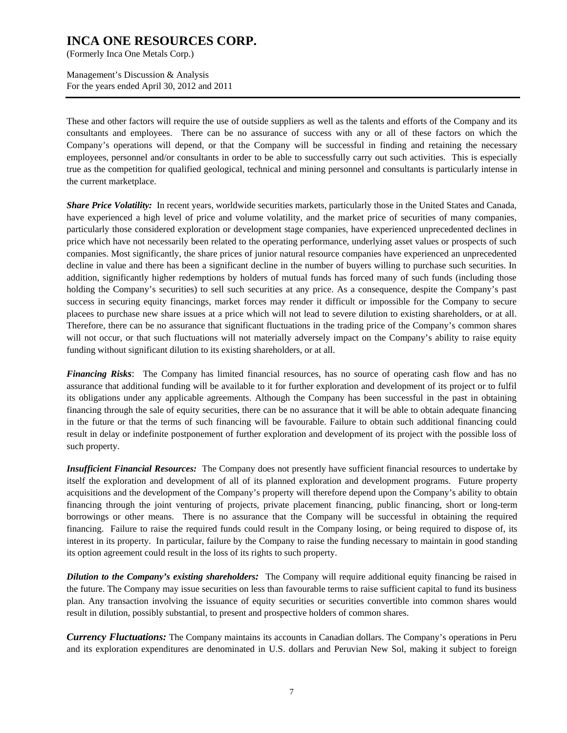(Formerly Inca One Metals Corp.)

Management's Discussion & Analysis For the years ended April 30, 2012 and 2011

These and other factors will require the use of outside suppliers as well as the talents and efforts of the Company and its consultants and employees. There can be no assurance of success with any or all of these factors on which the Company's operations will depend, or that the Company will be successful in finding and retaining the necessary employees, personnel and/or consultants in order to be able to successfully carry out such activities. This is especially true as the competition for qualified geological, technical and mining personnel and consultants is particularly intense in the current marketplace.

*Share Price Volatility:* In recent years, worldwide securities markets, particularly those in the United States and Canada, have experienced a high level of price and volume volatility, and the market price of securities of many companies, particularly those considered exploration or development stage companies, have experienced unprecedented declines in price which have not necessarily been related to the operating performance, underlying asset values or prospects of such companies. Most significantly, the share prices of junior natural resource companies have experienced an unprecedented decline in value and there has been a significant decline in the number of buyers willing to purchase such securities. In addition, significantly higher redemptions by holders of mutual funds has forced many of such funds (including those holding the Company's securities) to sell such securities at any price. As a consequence, despite the Company's past success in securing equity financings, market forces may render it difficult or impossible for the Company to secure placees to purchase new share issues at a price which will not lead to severe dilution to existing shareholders, or at all. Therefore, there can be no assurance that significant fluctuations in the trading price of the Company's common shares will not occur, or that such fluctuations will not materially adversely impact on the Company's ability to raise equity funding without significant dilution to its existing shareholders, or at all.

*Financing Risks*: The Company has limited financial resources, has no source of operating cash flow and has no assurance that additional funding will be available to it for further exploration and development of its project or to fulfil its obligations under any applicable agreements. Although the Company has been successful in the past in obtaining financing through the sale of equity securities, there can be no assurance that it will be able to obtain adequate financing in the future or that the terms of such financing will be favourable. Failure to obtain such additional financing could result in delay or indefinite postponement of further exploration and development of its project with the possible loss of such property.

*Insufficient Financial Resources:* The Company does not presently have sufficient financial resources to undertake by itself the exploration and development of all of its planned exploration and development programs. Future property acquisitions and the development of the Company's property will therefore depend upon the Company's ability to obtain financing through the joint venturing of projects, private placement financing, public financing, short or long-term borrowings or other means. There is no assurance that the Company will be successful in obtaining the required financing. Failure to raise the required funds could result in the Company losing, or being required to dispose of, its interest in its property. In particular, failure by the Company to raise the funding necessary to maintain in good standing its option agreement could result in the loss of its rights to such property.

*Dilution to the Company's existing shareholders:* The Company will require additional equity financing be raised in the future. The Company may issue securities on less than favourable terms to raise sufficient capital to fund its business plan. Any transaction involving the issuance of equity securities or securities convertible into common shares would result in dilution, possibly substantial, to present and prospective holders of common shares.

*Currency Fluctuations:* The Company maintains its accounts in Canadian dollars. The Company's operations in Peru and its exploration expenditures are denominated in U.S. dollars and Peruvian New Sol, making it subject to foreign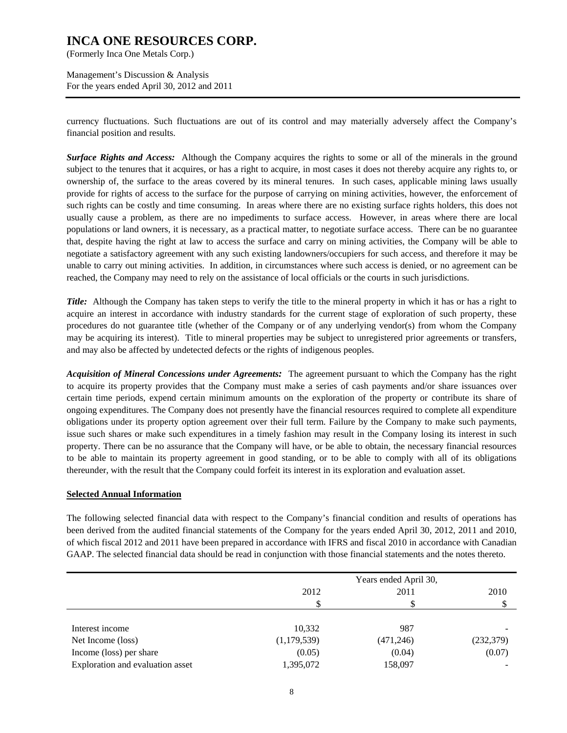(Formerly Inca One Metals Corp.)

Management's Discussion & Analysis For the years ended April 30, 2012 and 2011

currency fluctuations. Such fluctuations are out of its control and may materially adversely affect the Company's financial position and results.

*Surface Rights and Access:* Although the Company acquires the rights to some or all of the minerals in the ground subject to the tenures that it acquires, or has a right to acquire, in most cases it does not thereby acquire any rights to, or ownership of, the surface to the areas covered by its mineral tenures. In such cases, applicable mining laws usually provide for rights of access to the surface for the purpose of carrying on mining activities, however, the enforcement of such rights can be costly and time consuming. In areas where there are no existing surface rights holders, this does not usually cause a problem, as there are no impediments to surface access. However, in areas where there are local populations or land owners, it is necessary, as a practical matter, to negotiate surface access. There can be no guarantee that, despite having the right at law to access the surface and carry on mining activities, the Company will be able to negotiate a satisfactory agreement with any such existing landowners/occupiers for such access, and therefore it may be unable to carry out mining activities. In addition, in circumstances where such access is denied, or no agreement can be reached, the Company may need to rely on the assistance of local officials or the courts in such jurisdictions.

*Title:* Although the Company has taken steps to verify the title to the mineral property in which it has or has a right to acquire an interest in accordance with industry standards for the current stage of exploration of such property, these procedures do not guarantee title (whether of the Company or of any underlying vendor(s) from whom the Company may be acquiring its interest). Title to mineral properties may be subject to unregistered prior agreements or transfers, and may also be affected by undetected defects or the rights of indigenous peoples.

*Acquisition of Mineral Concessions under Agreements:* The agreement pursuant to which the Company has the right to acquire its property provides that the Company must make a series of cash payments and/or share issuances over certain time periods, expend certain minimum amounts on the exploration of the property or contribute its share of ongoing expenditures. The Company does not presently have the financial resources required to complete all expenditure obligations under its property option agreement over their full term. Failure by the Company to make such payments, issue such shares or make such expenditures in a timely fashion may result in the Company losing its interest in such property. There can be no assurance that the Company will have, or be able to obtain, the necessary financial resources to be able to maintain its property agreement in good standing, or to be able to comply with all of its obligations thereunder, with the result that the Company could forfeit its interest in its exploration and evaluation asset.

### **Selected Annual Information**

The following selected financial data with respect to the Company's financial condition and results of operations has been derived from the audited financial statements of the Company for the years ended April 30, 2012, 2011 and 2010, of which fiscal 2012 and 2011 have been prepared in accordance with IFRS and fiscal 2010 in accordance with Canadian GAAP. The selected financial data should be read in conjunction with those financial statements and the notes thereto.

|                                  | Years ended April 30, |            |            |
|----------------------------------|-----------------------|------------|------------|
|                                  | 2012                  | 2011       | 2010       |
|                                  |                       |            | دت         |
|                                  |                       |            |            |
| Interest income                  | 10,332                | 987        |            |
| Net Income (loss)                | (1,179,539)           | (471, 246) | (232, 379) |
| Income (loss) per share          | (0.05)                | (0.04)     | (0.07)     |
| Exploration and evaluation asset | 1,395,072             | 158,097    |            |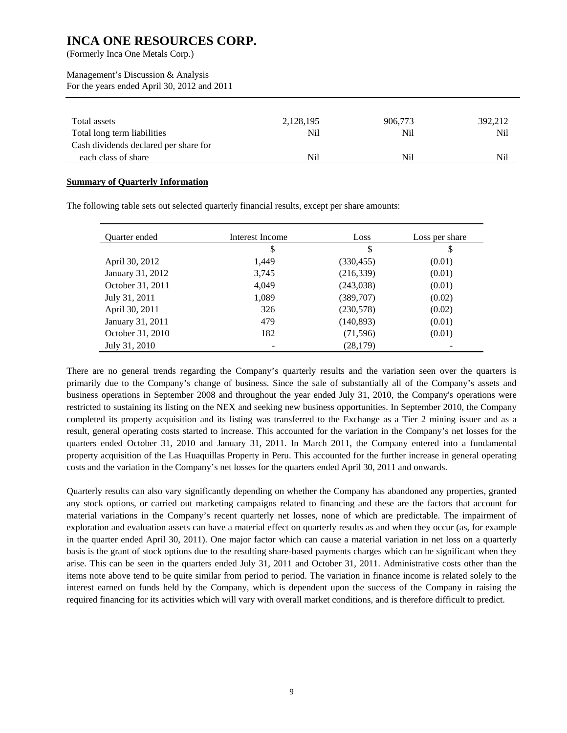(Formerly Inca One Metals Corp.)

### Management's Discussion & Analysis For the years ended April 30, 2012 and 2011

| Total assets                          | 2,128,195 | 906,773 | 392,212 |
|---------------------------------------|-----------|---------|---------|
| Total long term liabilities           | Nil       | Nil     | Nil     |
| Cash dividends declared per share for |           |         |         |
| each class of share                   | Nil       | Nil     | Nil     |

#### **Summary of Quarterly Information**

The following table sets out selected quarterly financial results, except per share amounts:

| Quarter ended    | Interest Income | Loss       | Loss per share |
|------------------|-----------------|------------|----------------|
|                  | \$              | \$         | \$             |
| April 30, 2012   | 1,449           | (330, 455) | (0.01)         |
| January 31, 2012 | 3,745           | (216, 339) | (0.01)         |
| October 31, 2011 | 4,049           | (243,038)  | (0.01)         |
| July 31, 2011    | 1,089           | (389,707)  | (0.02)         |
| April 30, 2011   | 326             | (230, 578) | (0.02)         |
| January 31, 2011 | 479             | (140, 893) | (0.01)         |
| October 31, 2010 | 182             | (71, 596)  | (0.01)         |
| July 31, 2010    |                 | (28, 179)  |                |

There are no general trends regarding the Company's quarterly results and the variation seen over the quarters is primarily due to the Company's change of business. Since the sale of substantially all of the Company's assets and business operations in September 2008 and throughout the year ended July 31, 2010, the Company's operations were restricted to sustaining its listing on the NEX and seeking new business opportunities. In September 2010, the Company completed its property acquisition and its listing was transferred to the Exchange as a Tier 2 mining issuer and as a result, general operating costs started to increase. This accounted for the variation in the Company's net losses for the quarters ended October 31, 2010 and January 31, 2011. In March 2011, the Company entered into a fundamental property acquisition of the Las Huaquillas Property in Peru. This accounted for the further increase in general operating costs and the variation in the Company's net losses for the quarters ended April 30, 2011 and onwards.

Quarterly results can also vary significantly depending on whether the Company has abandoned any properties, granted any stock options, or carried out marketing campaigns related to financing and these are the factors that account for material variations in the Company's recent quarterly net losses, none of which are predictable. The impairment of exploration and evaluation assets can have a material effect on quarterly results as and when they occur (as, for example in the quarter ended April 30, 2011). One major factor which can cause a material variation in net loss on a quarterly basis is the grant of stock options due to the resulting share-based payments charges which can be significant when they arise. This can be seen in the quarters ended July 31, 2011 and October 31, 2011. Administrative costs other than the items note above tend to be quite similar from period to period. The variation in finance income is related solely to the interest earned on funds held by the Company, which is dependent upon the success of the Company in raising the required financing for its activities which will vary with overall market conditions, and is therefore difficult to predict.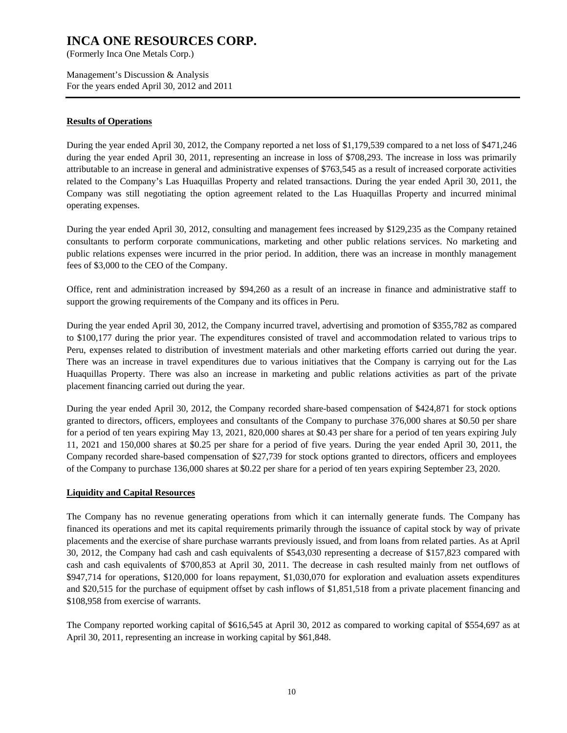(Formerly Inca One Metals Corp.)

Management's Discussion & Analysis For the years ended April 30, 2012 and 2011

#### **Results of Operations**

During the year ended April 30, 2012, the Company reported a net loss of \$1,179,539 compared to a net loss of \$471,246 during the year ended April 30, 2011, representing an increase in loss of \$708,293. The increase in loss was primarily attributable to an increase in general and administrative expenses of \$763,545 as a result of increased corporate activities related to the Company's Las Huaquillas Property and related transactions. During the year ended April 30, 2011, the Company was still negotiating the option agreement related to the Las Huaquillas Property and incurred minimal operating expenses.

During the year ended April 30, 2012, consulting and management fees increased by \$129,235 as the Company retained consultants to perform corporate communications, marketing and other public relations services. No marketing and public relations expenses were incurred in the prior period. In addition, there was an increase in monthly management fees of \$3,000 to the CEO of the Company.

Office, rent and administration increased by \$94,260 as a result of an increase in finance and administrative staff to support the growing requirements of the Company and its offices in Peru.

During the year ended April 30, 2012, the Company incurred travel, advertising and promotion of \$355,782 as compared to \$100,177 during the prior year. The expenditures consisted of travel and accommodation related to various trips to Peru, expenses related to distribution of investment materials and other marketing efforts carried out during the year. There was an increase in travel expenditures due to various initiatives that the Company is carrying out for the Las Huaquillas Property. There was also an increase in marketing and public relations activities as part of the private placement financing carried out during the year.

During the year ended April 30, 2012, the Company recorded share-based compensation of \$424,871 for stock options granted to directors, officers, employees and consultants of the Company to purchase 376,000 shares at \$0.50 per share for a period of ten years expiring May 13, 2021, 820,000 shares at \$0.43 per share for a period of ten years expiring July 11, 2021 and 150,000 shares at \$0.25 per share for a period of five years. During the year ended April 30, 2011, the Company recorded share-based compensation of \$27,739 for stock options granted to directors, officers and employees of the Company to purchase 136,000 shares at \$0.22 per share for a period of ten years expiring September 23, 2020.

### **Liquidity and Capital Resources**

The Company has no revenue generating operations from which it can internally generate funds. The Company has financed its operations and met its capital requirements primarily through the issuance of capital stock by way of private placements and the exercise of share purchase warrants previously issued, and from loans from related parties. As at April 30, 2012, the Company had cash and cash equivalents of \$543,030 representing a decrease of \$157,823 compared with cash and cash equivalents of \$700,853 at April 30, 2011. The decrease in cash resulted mainly from net outflows of \$947,714 for operations, \$120,000 for loans repayment, \$1,030,070 for exploration and evaluation assets expenditures and \$20,515 for the purchase of equipment offset by cash inflows of \$1,851,518 from a private placement financing and \$108,958 from exercise of warrants.

The Company reported working capital of \$616,545 at April 30, 2012 as compared to working capital of \$554,697 as at April 30, 2011, representing an increase in working capital by \$61,848.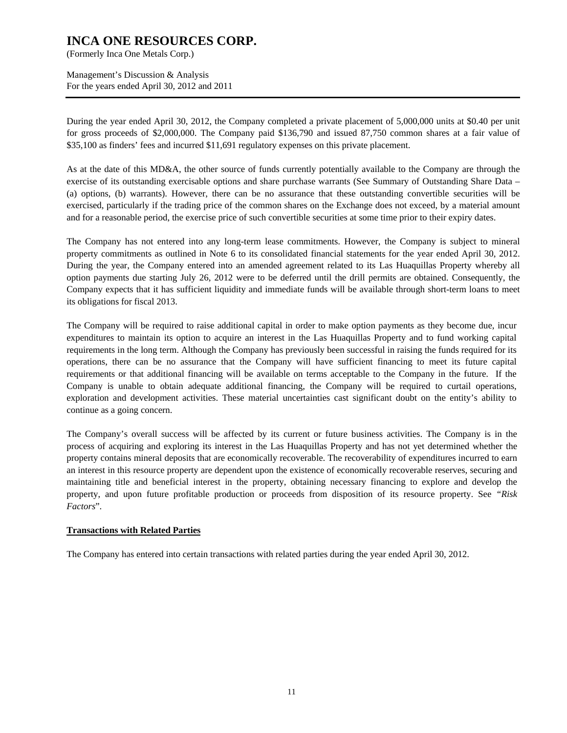(Formerly Inca One Metals Corp.)

Management's Discussion & Analysis For the years ended April 30, 2012 and 2011

During the year ended April 30, 2012, the Company completed a private placement of 5,000,000 units at \$0.40 per unit for gross proceeds of \$2,000,000. The Company paid \$136,790 and issued 87,750 common shares at a fair value of \$35,100 as finders' fees and incurred \$11,691 regulatory expenses on this private placement.

As at the date of this MD&A, the other source of funds currently potentially available to the Company are through the exercise of its outstanding exercisable options and share purchase warrants (See Summary of Outstanding Share Data – (a) options, (b) warrants). However, there can be no assurance that these outstanding convertible securities will be exercised, particularly if the trading price of the common shares on the Exchange does not exceed, by a material amount and for a reasonable period, the exercise price of such convertible securities at some time prior to their expiry dates.

The Company has not entered into any long-term lease commitments. However, the Company is subject to mineral property commitments as outlined in Note 6 to its consolidated financial statements for the year ended April 30, 2012. During the year, the Company entered into an amended agreement related to its Las Huaquillas Property whereby all option payments due starting July 26, 2012 were to be deferred until the drill permits are obtained. Consequently, the Company expects that it has sufficient liquidity and immediate funds will be available through short-term loans to meet its obligations for fiscal 2013.

The Company will be required to raise additional capital in order to make option payments as they become due, incur expenditures to maintain its option to acquire an interest in the Las Huaquillas Property and to fund working capital requirements in the long term. Although the Company has previously been successful in raising the funds required for its operations, there can be no assurance that the Company will have sufficient financing to meet its future capital requirements or that additional financing will be available on terms acceptable to the Company in the future. If the Company is unable to obtain adequate additional financing, the Company will be required to curtail operations, exploration and development activities. These material uncertainties cast significant doubt on the entity's ability to continue as a going concern.

The Company's overall success will be affected by its current or future business activities. The Company is in the process of acquiring and exploring its interest in the Las Huaquillas Property and has not yet determined whether the property contains mineral deposits that are economically recoverable. The recoverability of expenditures incurred to earn an interest in this resource property are dependent upon the existence of economically recoverable reserves, securing and maintaining title and beneficial interest in the property, obtaining necessary financing to explore and develop the property, and upon future profitable production or proceeds from disposition of its resource property. See *"Risk Factors*".

### **Transactions with Related Parties**

The Company has entered into certain transactions with related parties during the year ended April 30, 2012.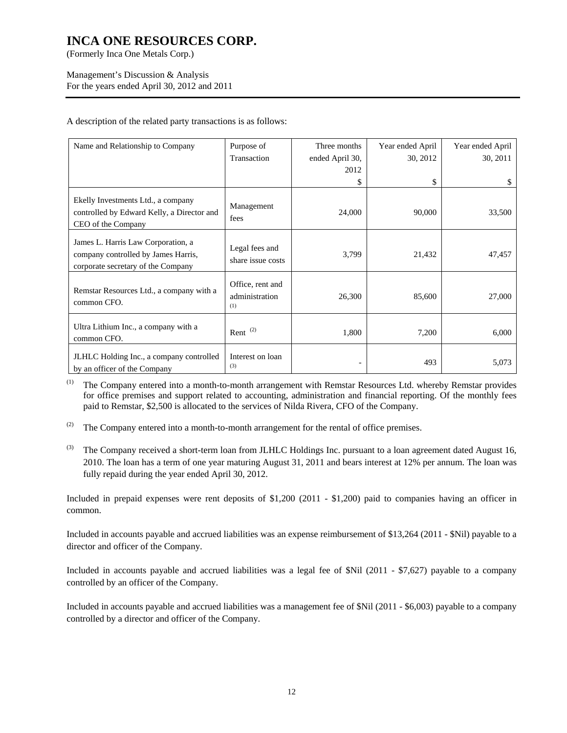(Formerly Inca One Metals Corp.)

A description of the related party transactions is as follows:

| Name and Relationship to Company                                                                                | Purpose of                                | Three months    | Year ended April | Year ended April |
|-----------------------------------------------------------------------------------------------------------------|-------------------------------------------|-----------------|------------------|------------------|
|                                                                                                                 | Transaction                               | ended April 30, | 30, 2012         | 30, 2011         |
|                                                                                                                 |                                           | 2012            |                  |                  |
|                                                                                                                 |                                           | \$              | \$               | \$               |
| Ekelly Investments Ltd., a company<br>controlled by Edward Kelly, a Director and<br>CEO of the Company          | Management<br>fees                        | 24,000          | 90,000           | 33,500           |
| James L. Harris Law Corporation, a<br>company controlled by James Harris,<br>corporate secretary of the Company | Legal fees and<br>share issue costs       | 3,799           | 21,432           | 47,457           |
| Remstar Resources Ltd., a company with a<br>common CFO.                                                         | Office, rent and<br>administration<br>(1) | 26,300          | 85,600           | 27,000           |
| Ultra Lithium Inc., a company with a<br>common CFO.                                                             | Rent $(2)$                                | 1,800           | 7,200            | 6,000            |
| JLHLC Holding Inc., a company controlled<br>by an officer of the Company                                        | Interest on loan<br>(3)                   |                 | 493              | 5,073            |

(1) The Company entered into a month-to-month arrangement with Remstar Resources Ltd. whereby Remstar provides for office premises and support related to accounting, administration and financial reporting. Of the monthly fees paid to Remstar, \$2,500 is allocated to the services of Nilda Rivera, CFO of the Company.

(2) The Company entered into a month-to-month arrangement for the rental of office premises.

(3) The Company received a short-term loan from JLHLC Holdings Inc. pursuant to a loan agreement dated August 16, 2010. The loan has a term of one year maturing August 31, 2011 and bears interest at 12% per annum. The loan was fully repaid during the year ended April 30, 2012.

Included in prepaid expenses were rent deposits of \$1,200 (2011 - \$1,200) paid to companies having an officer in common.

Included in accounts payable and accrued liabilities was an expense reimbursement of \$13,264 (2011 - \$Nil) payable to a director and officer of the Company.

Included in accounts payable and accrued liabilities was a legal fee of \$Nil (2011 - \$7,627) payable to a company controlled by an officer of the Company.

Included in accounts payable and accrued liabilities was a management fee of \$Nil (2011 - \$6,003) payable to a company controlled by a director and officer of the Company.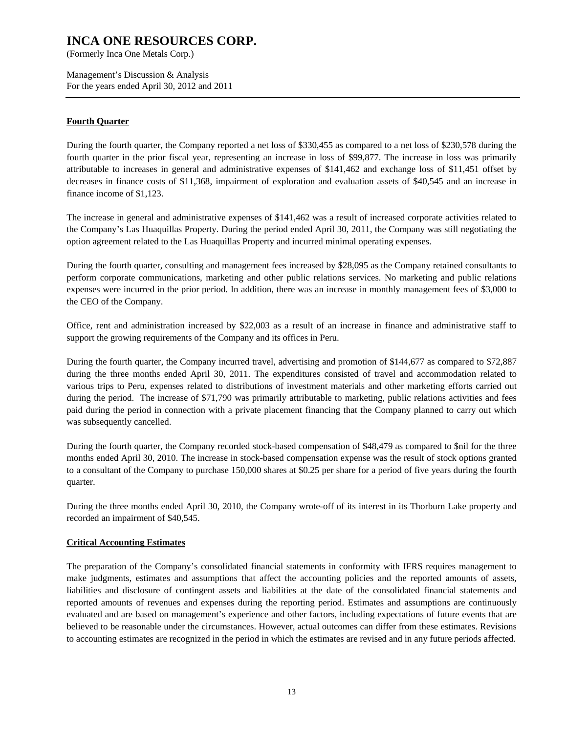(Formerly Inca One Metals Corp.)

Management's Discussion & Analysis For the years ended April 30, 2012 and 2011

#### **Fourth Quarter**

During the fourth quarter, the Company reported a net loss of \$330,455 as compared to a net loss of \$230,578 during the fourth quarter in the prior fiscal year, representing an increase in loss of \$99,877. The increase in loss was primarily attributable to increases in general and administrative expenses of \$141,462 and exchange loss of \$11,451 offset by decreases in finance costs of \$11,368, impairment of exploration and evaluation assets of \$40,545 and an increase in finance income of \$1,123.

The increase in general and administrative expenses of \$141,462 was a result of increased corporate activities related to the Company's Las Huaquillas Property. During the period ended April 30, 2011, the Company was still negotiating the option agreement related to the Las Huaquillas Property and incurred minimal operating expenses.

During the fourth quarter, consulting and management fees increased by \$28,095 as the Company retained consultants to perform corporate communications, marketing and other public relations services. No marketing and public relations expenses were incurred in the prior period. In addition, there was an increase in monthly management fees of \$3,000 to the CEO of the Company.

Office, rent and administration increased by \$22,003 as a result of an increase in finance and administrative staff to support the growing requirements of the Company and its offices in Peru.

During the fourth quarter, the Company incurred travel, advertising and promotion of \$144,677 as compared to \$72,887 during the three months ended April 30, 2011. The expenditures consisted of travel and accommodation related to various trips to Peru, expenses related to distributions of investment materials and other marketing efforts carried out during the period. The increase of \$71,790 was primarily attributable to marketing, public relations activities and fees paid during the period in connection with a private placement financing that the Company planned to carry out which was subsequently cancelled.

During the fourth quarter, the Company recorded stock-based compensation of \$48,479 as compared to \$nil for the three months ended April 30, 2010. The increase in stock-based compensation expense was the result of stock options granted to a consultant of the Company to purchase 150,000 shares at \$0.25 per share for a period of five years during the fourth quarter.

During the three months ended April 30, 2010, the Company wrote-off of its interest in its Thorburn Lake property and recorded an impairment of \$40,545.

### **Critical Accounting Estimates**

The preparation of the Company's consolidated financial statements in conformity with IFRS requires management to make judgments, estimates and assumptions that affect the accounting policies and the reported amounts of assets, liabilities and disclosure of contingent assets and liabilities at the date of the consolidated financial statements and reported amounts of revenues and expenses during the reporting period. Estimates and assumptions are continuously evaluated and are based on management's experience and other factors, including expectations of future events that are believed to be reasonable under the circumstances. However, actual outcomes can differ from these estimates. Revisions to accounting estimates are recognized in the period in which the estimates are revised and in any future periods affected.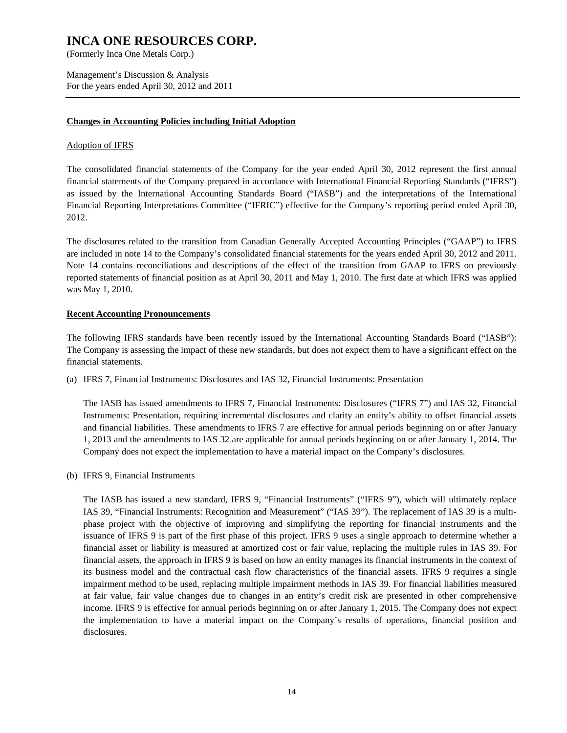(Formerly Inca One Metals Corp.)

Management's Discussion & Analysis For the years ended April 30, 2012 and 2011

#### **Changes in Accounting Policies including Initial Adoption**

#### Adoption of IFRS

The consolidated financial statements of the Company for the year ended April 30, 2012 represent the first annual financial statements of the Company prepared in accordance with International Financial Reporting Standards ("IFRS") as issued by the International Accounting Standards Board ("IASB") and the interpretations of the International Financial Reporting Interpretations Committee ("IFRIC") effective for the Company's reporting period ended April 30, 2012.

The disclosures related to the transition from Canadian Generally Accepted Accounting Principles ("GAAP") to IFRS are included in note 14 to the Company's consolidated financial statements for the years ended April 30, 2012 and 2011. Note 14 contains reconciliations and descriptions of the effect of the transition from GAAP to IFRS on previously reported statements of financial position as at April 30, 2011 and May 1, 2010. The first date at which IFRS was applied was May 1, 2010.

#### **Recent Accounting Pronouncements**

The following IFRS standards have been recently issued by the International Accounting Standards Board ("IASB"): The Company is assessing the impact of these new standards, but does not expect them to have a significant effect on the financial statements.

(a) IFRS 7, Financial Instruments: Disclosures and IAS 32, Financial Instruments: Presentation

The IASB has issued amendments to IFRS 7, Financial Instruments: Disclosures ("IFRS 7") and IAS 32, Financial Instruments: Presentation, requiring incremental disclosures and clarity an entity's ability to offset financial assets and financial liabilities. These amendments to IFRS 7 are effective for annual periods beginning on or after January 1, 2013 and the amendments to IAS 32 are applicable for annual periods beginning on or after January 1, 2014. The Company does not expect the implementation to have a material impact on the Company's disclosures.

(b) IFRS 9, Financial Instruments

The IASB has issued a new standard, IFRS 9, "Financial Instruments" ("IFRS 9"), which will ultimately replace IAS 39, "Financial Instruments: Recognition and Measurement" ("IAS 39"). The replacement of IAS 39 is a multiphase project with the objective of improving and simplifying the reporting for financial instruments and the issuance of IFRS 9 is part of the first phase of this project. IFRS 9 uses a single approach to determine whether a financial asset or liability is measured at amortized cost or fair value, replacing the multiple rules in IAS 39. For financial assets, the approach in IFRS 9 is based on how an entity manages its financial instruments in the context of its business model and the contractual cash flow characteristics of the financial assets. IFRS 9 requires a single impairment method to be used, replacing multiple impairment methods in IAS 39. For financial liabilities measured at fair value, fair value changes due to changes in an entity's credit risk are presented in other comprehensive income. IFRS 9 is effective for annual periods beginning on or after January 1, 2015. The Company does not expect the implementation to have a material impact on the Company's results of operations, financial position and disclosures.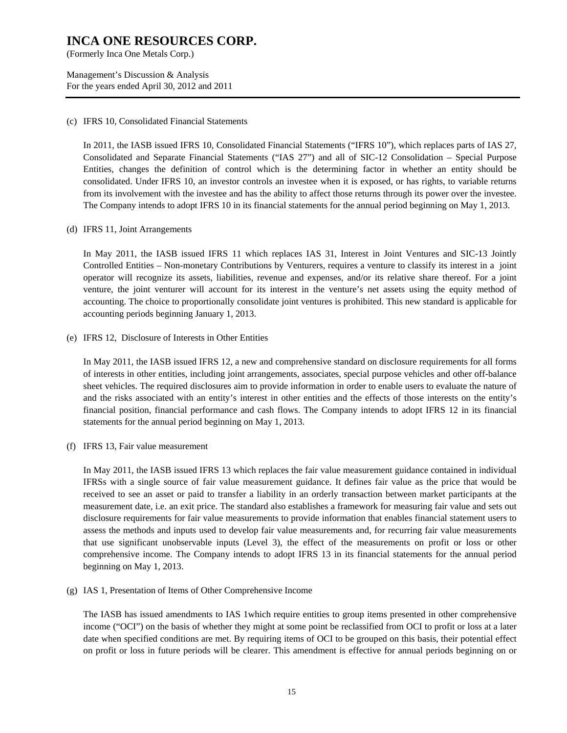(Formerly Inca One Metals Corp.)

Management's Discussion & Analysis For the years ended April 30, 2012 and 2011

#### (c) IFRS 10, Consolidated Financial Statements

In 2011, the IASB issued IFRS 10, Consolidated Financial Statements ("IFRS 10"), which replaces parts of IAS 27, Consolidated and Separate Financial Statements ("IAS 27") and all of SIC-12 Consolidation – Special Purpose Entities, changes the definition of control which is the determining factor in whether an entity should be consolidated. Under IFRS 10, an investor controls an investee when it is exposed, or has rights, to variable returns from its involvement with the investee and has the ability to affect those returns through its power over the investee. The Company intends to adopt IFRS 10 in its financial statements for the annual period beginning on May 1, 2013.

#### (d) IFRS 11, Joint Arrangements

In May 2011, the IASB issued IFRS 11 which replaces IAS 31, Interest in Joint Ventures and SIC-13 Jointly Controlled Entities – Non-monetary Contributions by Venturers, requires a venture to classify its interest in a joint operator will recognize its assets, liabilities, revenue and expenses, and/or its relative share thereof. For a joint venture, the joint venturer will account for its interest in the venture's net assets using the equity method of accounting. The choice to proportionally consolidate joint ventures is prohibited. This new standard is applicable for accounting periods beginning January 1, 2013.

(e) IFRS 12, Disclosure of Interests in Other Entities

In May 2011, the IASB issued IFRS 12, a new and comprehensive standard on disclosure requirements for all forms of interests in other entities, including joint arrangements, associates, special purpose vehicles and other off-balance sheet vehicles. The required disclosures aim to provide information in order to enable users to evaluate the nature of and the risks associated with an entity's interest in other entities and the effects of those interests on the entity's financial position, financial performance and cash flows. The Company intends to adopt IFRS 12 in its financial statements for the annual period beginning on May 1, 2013.

(f) IFRS 13, Fair value measurement

In May 2011, the IASB issued IFRS 13 which replaces the fair value measurement guidance contained in individual IFRSs with a single source of fair value measurement guidance. It defines fair value as the price that would be received to see an asset or paid to transfer a liability in an orderly transaction between market participants at the measurement date, i.e. an exit price. The standard also establishes a framework for measuring fair value and sets out disclosure requirements for fair value measurements to provide information that enables financial statement users to assess the methods and inputs used to develop fair value measurements and, for recurring fair value measurements that use significant unobservable inputs (Level 3), the effect of the measurements on profit or loss or other comprehensive income. The Company intends to adopt IFRS 13 in its financial statements for the annual period beginning on May 1, 2013.

(g) IAS 1, Presentation of Items of Other Comprehensive Income

The IASB has issued amendments to IAS 1which require entities to group items presented in other comprehensive income ("OCI") on the basis of whether they might at some point be reclassified from OCI to profit or loss at a later date when specified conditions are met. By requiring items of OCI to be grouped on this basis, their potential effect on profit or loss in future periods will be clearer. This amendment is effective for annual periods beginning on or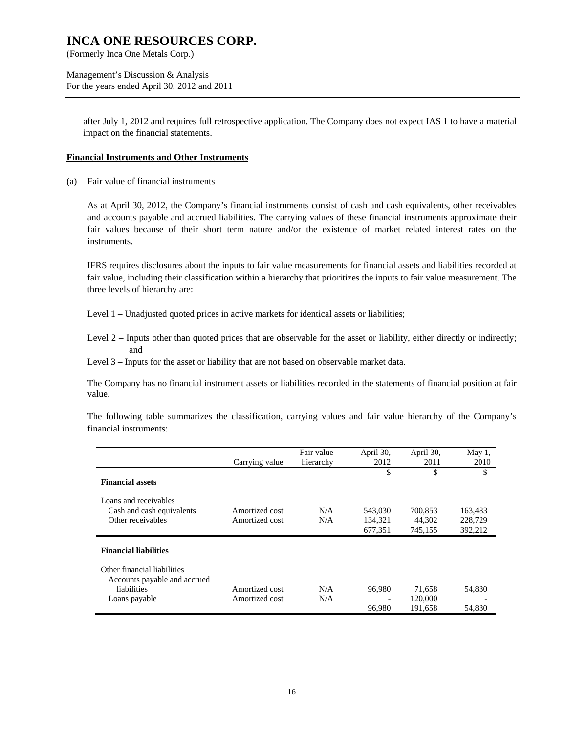(Formerly Inca One Metals Corp.)

Management's Discussion & Analysis For the years ended April 30, 2012 and 2011

> after July 1, 2012 and requires full retrospective application. The Company does not expect IAS 1 to have a material impact on the financial statements.

#### **Financial Instruments and Other Instruments**

(a) Fair value of financial instruments

As at April 30, 2012, the Company's financial instruments consist of cash and cash equivalents, other receivables and accounts payable and accrued liabilities. The carrying values of these financial instruments approximate their fair values because of their short term nature and/or the existence of market related interest rates on the instruments.

IFRS requires disclosures about the inputs to fair value measurements for financial assets and liabilities recorded at fair value, including their classification within a hierarchy that prioritizes the inputs to fair value measurement. The three levels of hierarchy are:

Level 1 – Unadjusted quoted prices in active markets for identical assets or liabilities;

Level 2 – Inputs other than quoted prices that are observable for the asset or liability, either directly or indirectly; and

Level 3 – Inputs for the asset or liability that are not based on observable market data.

The Company has no financial instrument assets or liabilities recorded in the statements of financial position at fair value.

The following table summarizes the classification, carrying values and fair value hierarchy of the Company's financial instruments:

|                              |                | Fair value | April 30, | April 30, | May 1,  |
|------------------------------|----------------|------------|-----------|-----------|---------|
|                              | Carrying value | hierarchy  | 2012      | 2011      | 2010    |
|                              |                |            | \$        | \$        | \$      |
| <b>Financial assets</b>      |                |            |           |           |         |
| Loans and receivables        |                |            |           |           |         |
| Cash and cash equivalents    | Amortized cost | N/A        | 543,030   | 700,853   | 163,483 |
| Other receivables            | Amortized cost | N/A        | 134,321   | 44,302    | 228,729 |
|                              |                |            | 677,351   | 745,155   | 392,212 |
|                              |                |            |           |           |         |
| <b>Financial liabilities</b> |                |            |           |           |         |
| Other financial liabilities  |                |            |           |           |         |
| Accounts payable and accrued |                |            |           |           |         |
| liabilities                  | Amortized cost | N/A        | 96.980    | 71,658    | 54,830  |
| Loans payable                | Amortized cost | N/A        |           | 120,000   |         |
|                              |                |            | 96,980    | 191,658   | 54,830  |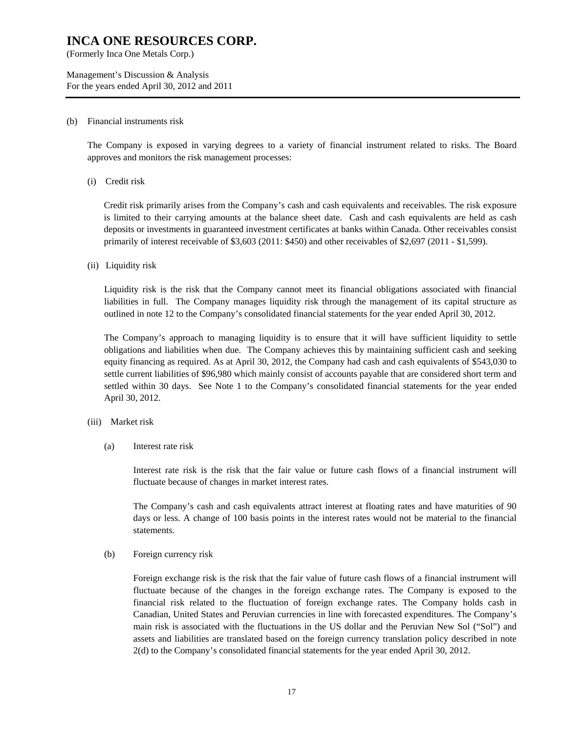(Formerly Inca One Metals Corp.)

Management's Discussion & Analysis For the years ended April 30, 2012 and 2011

#### (b) Financial instruments risk

The Company is exposed in varying degrees to a variety of financial instrument related to risks. The Board approves and monitors the risk management processes:

(i) Credit risk

Credit risk primarily arises from the Company's cash and cash equivalents and receivables. The risk exposure is limited to their carrying amounts at the balance sheet date. Cash and cash equivalents are held as cash deposits or investments in guaranteed investment certificates at banks within Canada. Other receivables consist primarily of interest receivable of \$3,603 (2011: \$450) and other receivables of \$2,697 (2011 - \$1,599).

(ii) Liquidity risk

Liquidity risk is the risk that the Company cannot meet its financial obligations associated with financial liabilities in full. The Company manages liquidity risk through the management of its capital structure as outlined in note 12 to the Company's consolidated financial statements for the year ended April 30, 2012.

The Company's approach to managing liquidity is to ensure that it will have sufficient liquidity to settle obligations and liabilities when due. The Company achieves this by maintaining sufficient cash and seeking equity financing as required. As at April 30, 2012, the Company had cash and cash equivalents of \$543,030 to settle current liabilities of \$96,980 which mainly consist of accounts payable that are considered short term and settled within 30 days. See Note 1 to the Company's consolidated financial statements for the year ended April 30, 2012.

#### (iii) Market risk

(a) Interest rate risk

Interest rate risk is the risk that the fair value or future cash flows of a financial instrument will fluctuate because of changes in market interest rates.

The Company's cash and cash equivalents attract interest at floating rates and have maturities of 90 days or less. A change of 100 basis points in the interest rates would not be material to the financial statements.

(b) Foreign currency risk

Foreign exchange risk is the risk that the fair value of future cash flows of a financial instrument will fluctuate because of the changes in the foreign exchange rates. The Company is exposed to the financial risk related to the fluctuation of foreign exchange rates. The Company holds cash in Canadian, United States and Peruvian currencies in line with forecasted expenditures. The Company's main risk is associated with the fluctuations in the US dollar and the Peruvian New Sol ("Sol") and assets and liabilities are translated based on the foreign currency translation policy described in note 2(d) to the Company's consolidated financial statements for the year ended April 30, 2012.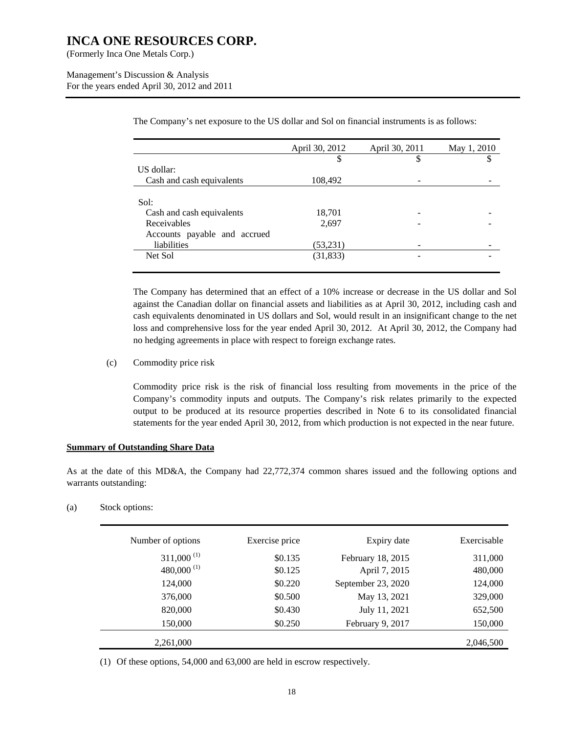(Formerly Inca One Metals Corp.)

Management's Discussion & Analysis For the years ended April 30, 2012 and 2011

|                              | April 30, 2012 | April 30, 2011 | May 1, 2010 |
|------------------------------|----------------|----------------|-------------|
|                              | S              | S              |             |
| US dollar:                   |                |                |             |
| Cash and cash equivalents    | 108,492        |                |             |
|                              |                |                |             |
| Sol:                         |                |                |             |
| Cash and cash equivalents    | 18,701         |                |             |
| Receivables                  | 2,697          |                |             |
| Accounts payable and accrued |                |                |             |
| liabilities                  | (53,231)       |                |             |
| Net Sol                      | (31, 833)      | -              |             |
|                              |                |                |             |

The Company's net exposure to the US dollar and Sol on financial instruments is as follows:

The Company has determined that an effect of a 10% increase or decrease in the US dollar and Sol against the Canadian dollar on financial assets and liabilities as at April 30, 2012, including cash and cash equivalents denominated in US dollars and Sol, would result in an insignificant change to the net loss and comprehensive loss for the year ended April 30, 2012. At April 30, 2012, the Company had no hedging agreements in place with respect to foreign exchange rates.

(c) Commodity price risk

Commodity price risk is the risk of financial loss resulting from movements in the price of the Company's commodity inputs and outputs. The Company's risk relates primarily to the expected output to be produced at its resource properties described in Note 6 to its consolidated financial statements for the year ended April 30, 2012, from which production is not expected in the near future.

#### **Summary of Outstanding Share Data**

As at the date of this MD&A, the Company had 22,772,374 common shares issued and the following options and warrants outstanding:

#### (a) Stock options:

| Number of options | Exercise price | Expiry date        | Exercisable |
|-------------------|----------------|--------------------|-------------|
| $311,000^{(1)}$   | \$0.135        | February 18, 2015  | 311,000     |
| 480,000 $^{(1)}$  | \$0.125        | April 7, 2015      | 480,000     |
| 124,000           | \$0.220        | September 23, 2020 | 124,000     |
| 376,000           | \$0.500        | May 13, 2021       | 329,000     |
| 820,000           | \$0.430        | July 11, 2021      | 652,500     |
| 150,000           | \$0.250        | February 9, 2017   | 150,000     |
| 2,261,000         |                |                    | 2,046,500   |

(1) Of these options, 54,000 and 63,000 are held in escrow respectively.